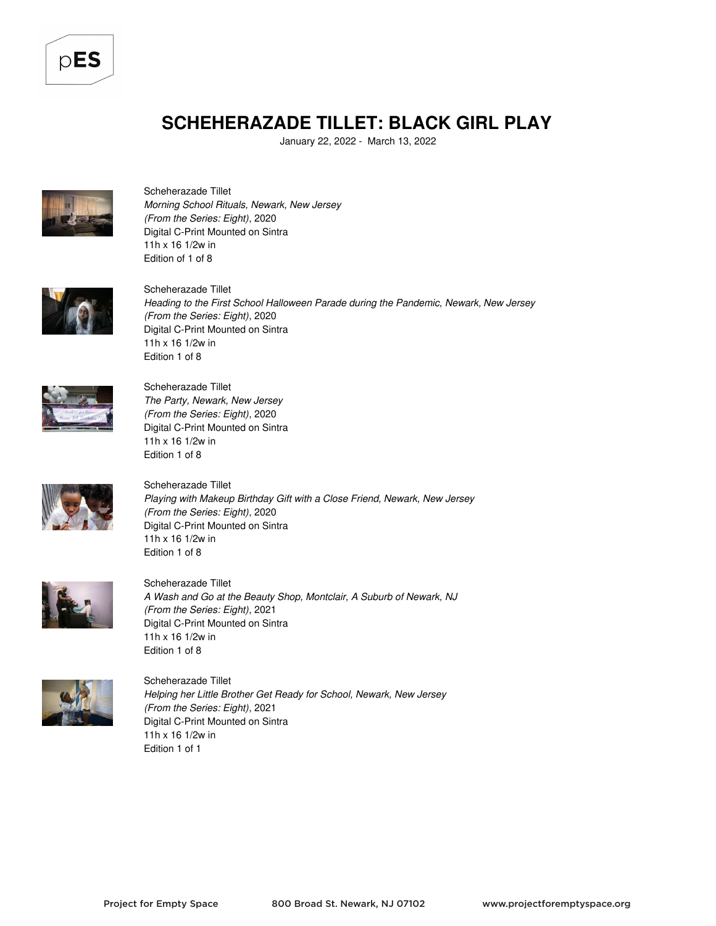

## **SCHEHERAZADE TILLET: BLACK GIRL PLAY**

January 22, 2022 - March 13, 2022



Scheherazade Tillet *Morning School Rituals, Newark, New Jersey (From the Series: Eight)*, 2020 Digital C-Print Mounted on Sintra 11h x 16 1/2w in Edition of 1 of 8



Scheherazade Tillet *Heading to the First School Halloween Parade during the Pandemic, Newark, New Jersey (From the Series: Eight)*, 2020 Digital C-Print Mounted on Sintra 11h x 16 1/2w in Edition 1 of 8



Scheherazade Tillet *The Party, Newark, New Jersey (From the Series: Eight)*, 2020 Digital C-Print Mounted on Sintra 11h x 16 1/2w in Edition 1 of 8



Scheherazade Tillet *Playing with Makeup Birthday Gift with a Close Friend, Newark, New Jersey (From the Series: Eight)*, 2020 Digital C-Print Mounted on Sintra 11h x 16 1/2w in Edition 1 of 8



Scheherazade Tillet *A Wash and Go at the Beauty Shop, Montclair, A Suburb of Newark, NJ (From the Series: Eight)*, 2021 Digital C-Print Mounted on Sintra 11h x 16 1/2w in Edition 1 of 8



Scheherazade Tillet *Helping her Little Brother Get Ready for School, Newark, New Jersey (From the Series: Eight)*, 2021 Digital C-Print Mounted on Sintra 11h x 16 1/2w in Edition 1 of 1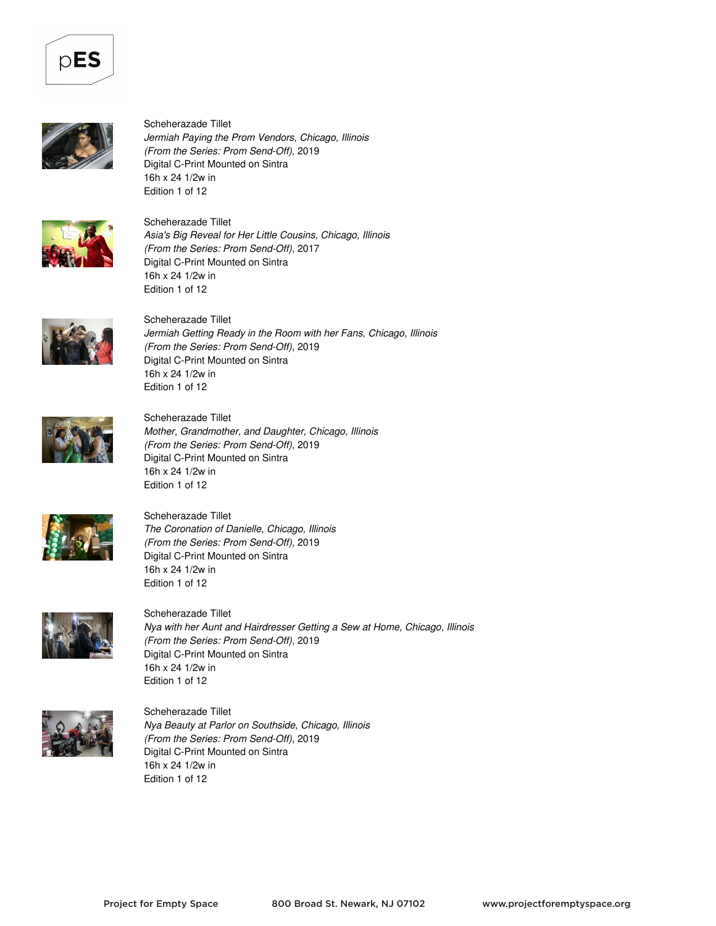



Scheherazade Tillet *Jermiah Paying the Prom Vendors, Chicago, Illinois (From the Series: Prom Send-Off)*, 2019 Digital C-Print Mounted on Sintra 16h x 24 1/2w in Edition 1 of 12



Scheherazade Tillet *Asia's Big Reveal for Her Little Cousins, Chicago, Illinois (From the Series: Prom Send-Off)*, 2017 Digital C-Print Mounted on Sintra 16h x 24 1/2w in Edition 1 of 12



Scheherazade Tillet *Jermiah Getting Ready in the Room with her Fans, Chicago, Illinois (From the Series: Prom Send-Off)*, 2019 Digital C-Print Mounted on Sintra 16h x 24 1/2w in Edition 1 of 12



Scheherazade Tillet

*Mother, Grandmother, and Daughter, Chicago, Illinois (From the Series: Prom Send-Off)*, 2019 Digital C-Print Mounted on Sintra 16h x 24 1/2w in Edition 1 of 12



Scheherazade Tillet *The Coronation of Danielle, Chicago, Illinois (From the Series: Prom Send-Off)*, 2019 Digital C-Print Mounted on Sintra 16h x 24 1/2w in Edition 1 of 12



Scheherazade Tillet *Nya with her Aunt and Hairdresser Getting a Sew at Home, Chicago, Illinois (From the Series: Prom Send-Off)*, 2019 Digital C-Print Mounted on Sintra 16h x 24 1/2w in Edition 1 of 12



Scheherazade Tillet *Nya Beauty at Parlor on Southside, Chicago, Illinois (From the Series: Prom Send-Off)*, 2019 Digital C-Print Mounted on Sintra 16h x 24 1/2w in Edition 1 of 12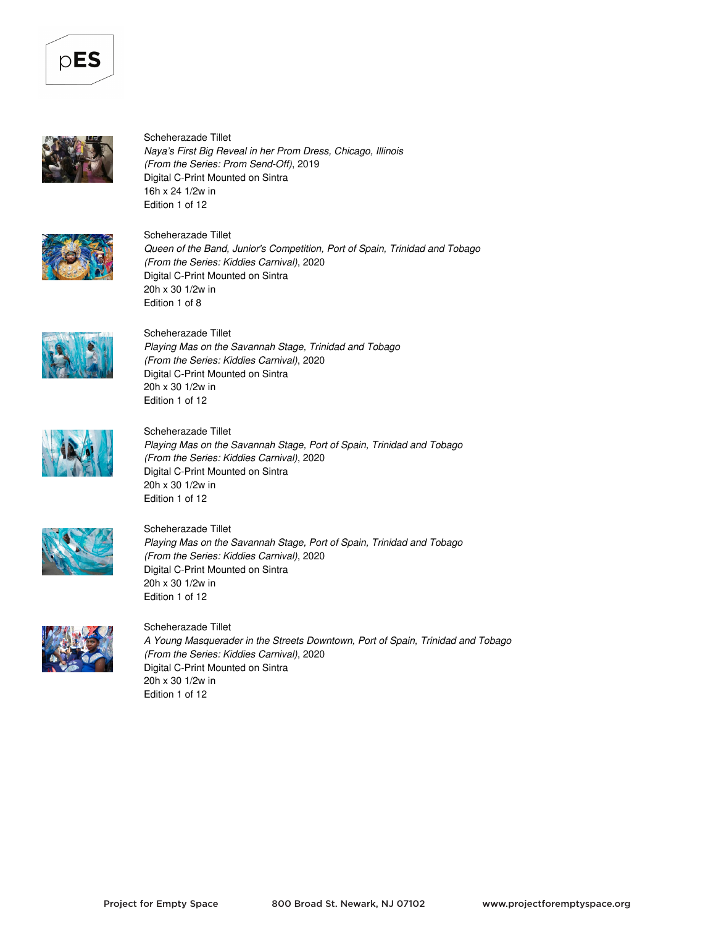



Scheherazade Tillet *Naya's First Big Reveal in her Prom Dress, Chicago, Illinois (From the Series: Prom Send-Off)*, 2019 Digital C-Print Mounted on Sintra 16h x 24 1/2w in Edition 1 of 12



Scheherazade Tillet *Queen of the Band, Junior's Competition, Port of Spain, Trinidad and Tobago (From the Series: Kiddies Carnival)*, 2020 Digital C-Print Mounted on Sintra 20h x 30 1/2w in Edition 1 of 8



Scheherazade Tillet *Playing Mas on the Savannah Stage, Trinidad and Tobago (From the Series: Kiddies Carnival)*, 2020 Digital C-Print Mounted on Sintra 20h x 30 1/2w in Edition 1 of 12



Scheherazade Tillet *Playing Mas on the Savannah Stage, Port of Spain, Trinidad and Tobago (From the Series: Kiddies Carnival)*, 2020 Digital C-Print Mounted on Sintra 20h x 30 1/2w in Edition 1 of 12



Scheherazade Tillet

*Playing Mas on the Savannah Stage, Port of Spain, Trinidad and Tobago (From the Series: Kiddies Carnival)*, 2020 Digital C-Print Mounted on Sintra 20h x 30 1/2w in Edition 1 of 12



Scheherazade Tillet *A Young Masquerader in the Streets Downtown, Port of Spain, Trinidad and Tobago (From the Series: Kiddies Carnival)*, 2020 Digital C-Print Mounted on Sintra 20h x 30 1/2w in Edition 1 of 12